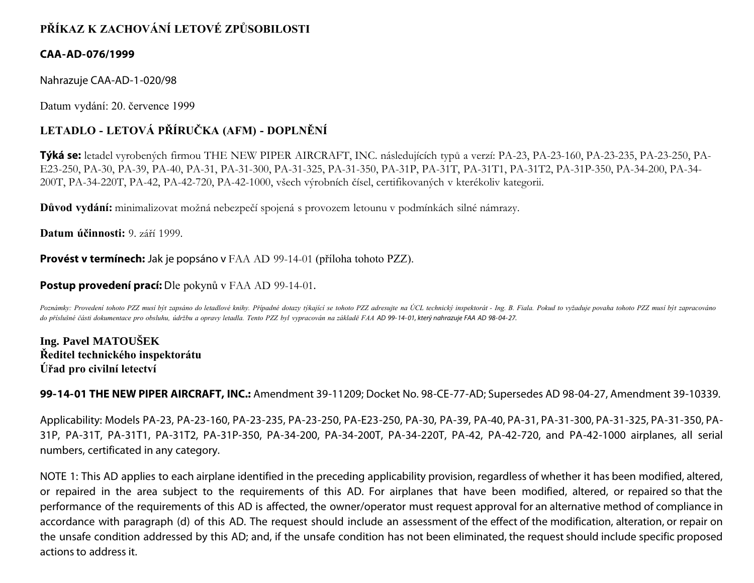# **PŘÍKAZ K ZACHOVÁNÍ LETOVÉ ZPŮSOBILOSTI**

### **CAA-AD-076/1999**

Nahrazuje CAA-AD-1-020/98

Datum vydání: 20. července 1999

# **LETADLO - LETOVÁ PŘÍRUČKA (AFM) - DOPLNĚNÍ**

**Týká se:** letadel vyrobených firmou THE NEW PIPER AIRCRAFT, INC. následujících typů a verzí: PA-23, PA-23-160, PA-23-235, PA-23-250, PA-E23-250, PA-30, PA-39, PA-40, PA-31, PA-31-300, PA-31-325, PA-31-350, PA-31P, PA-31T, PA-31T1, PA-31T2, PA-31P-350, PA-34-200, PA-34- 200T, PA-34-220T, PA-42, PA-42-720, PA-42-1000, všech výrobních čísel, certifikovaných v kterékoliv kategorii.

**Důvod vydání:** minimalizovat možná nebezpečí spojená s provozem letounu v podmínkách silné námrazy.

**Datum účinnosti:** 9. září 1999.

**Provést v termínech:** Jak je popsáno v FAA AD 99-14-01 (příloha tohoto PZZ).

### **Postup provedení prací:** Dle pokynů v FAA AD 99-14-01.

Poznámky: Provedení tohoto PZZ musí být zapsáno do letadlové knihy. Případné dotazy týkající se tohoto PZZ adresujte na ÚCL technický inspektorát - Ing. B. Fiala. Pokud to vyžaduje povaha tohoto PZZ musí být zapracováno *do příslušné části dokumentace pro obsluhu, údržbu a opravy letadla. Tento PZZ byl vypracován na základě FAA AD 99- 14- 01, který nahrazuje FAA AD 98- 04- 27.*

**Ing. Pavel MATOUŠEK Ředitel technického inspektorátu Úřad pro civilní letectví**

**99-14-01 THE NEW PIPER AIRCRAFT, INC.:** Amendment 39-11209; Docket No. 98-CE-77-AD; Supersedes AD 98-04-27, Amendment 39-10339.

Applicability: Models PA-23, PA-23-160, PA-23-235, PA-23-250, PA-E23-250, PA-30, PA-39, PA-40, PA-31, PA-31-300, PA-31-325, PA-31-350, PA-31P, PA-31T, PA-31T1, PA-31T2, PA-31P-350, PA-34-200, PA-34-200T, PA-34-220T, PA-42, PA-42-720, and PA-42-1000 airplanes, all serial numbers, certificated in any category.

NOTE 1: This AD applies to each airplane identified in the preceding applicability provision, regardless of whether it has been modified, altered, or repaired in the area subject to the requirements of this AD. For airplanes that have been modified, altered, or repaired so that the performance of the requirements of this AD is affected, the owner/operator must request approval for an alternative method of compliance in accordance with paragraph (d) of this AD. The request should include an assessment of the effect of the modification, alteration, or repair on the unsafe condition addressed by this AD; and, if the unsafe condition has not been eliminated, the request should include specific proposed actions to address it.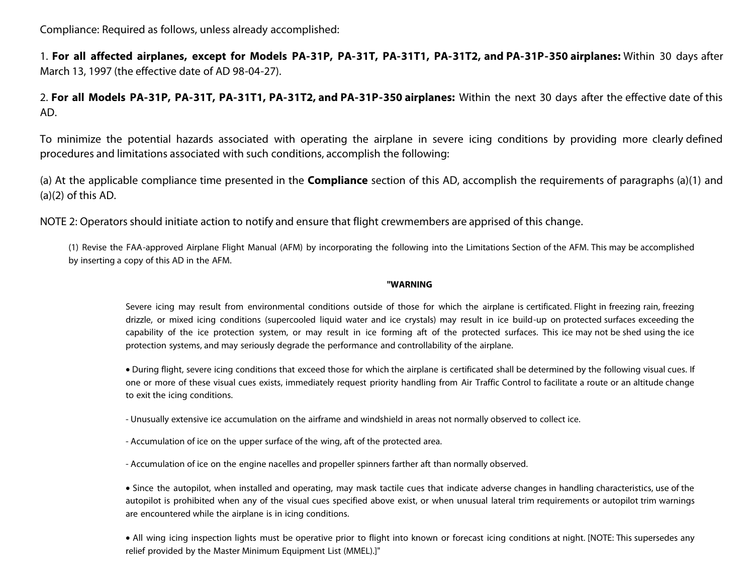Compliance: Required as follows, unless already accomplished:

1. **For all affected airplanes, except for Models PA-31P, PA-31T, PA-31T1, PA-31T2, and PA-31P-350 airplanes:** Within 30 days after March 13, 1997 (the effective date of AD 98-04-27).

2. **For all Models PA-31P, PA-31T, PA-31T1, PA-31T2, and PA-31P-350 airplanes:** Within the next 30 days after the effective date of this AD.

To minimize the potential hazards associated with operating the airplane in severe icing conditions by providing more clearly defined procedures and limitations associated with such conditions, accomplish the following:

(a) At the applicable compliance time presented in the **Compliance** section of this AD, accomplish the requirements of paragraphs (a)(1) and (a)(2) of this AD.

NOTE 2: Operators should initiate action to notify and ensure that flight crewmembers are apprised of this change.

(1) Revise the FAA-approved Airplane Flight Manual (AFM) by incorporating the following into the Limitations Section of the AFM. This may be accomplished by inserting a copy of this AD in the AFM.

#### **"WARNING**

Severe icing may result from environmental conditions outside of those for which the airplane is certificated. Flight in freezing rain, freezing drizzle, or mixed icing conditions (supercooled liquid water and ice crystals) may result in ice build-up on protected surfaces exceeding the capability of the ice protection system, or may result in ice forming aft of the protected surfaces. This ice may not be shed using the ice protection systems, and may seriously degrade the performance and controllability of the airplane.

• During flight, severe icing conditions that exceed those for which the airplane is certificated shall be determined by the following visual cues. If one or more of these visual cues exists, immediately request priority handling from Air Traffic Control to facilitate a route or an altitude change to exit the icing conditions.

- Unusually extensive ice accumulation on the airframe and windshield in areas not normally observed to collect ice.

- Accumulation of ice on the upper surface of the wing, aft of the protected area.

- Accumulation of ice on the engine nacelles and propeller spinners farther aft than normally observed.

• Since the autopilot, when installed and operating, may mask tactile cues that indicate adverse changes in handling characteristics, use of the autopilot is prohibited when any of the visual cues specified above exist, or when unusual lateral trim requirements or autopilot trim warnings are encountered while the airplane is in icing conditions.

• All wing icing inspection lights must be operative prior to flight into known or forecast icing conditions at night. [NOTE: This supersedes any relief provided by the Master Minimum Equipment List (MMEL).]"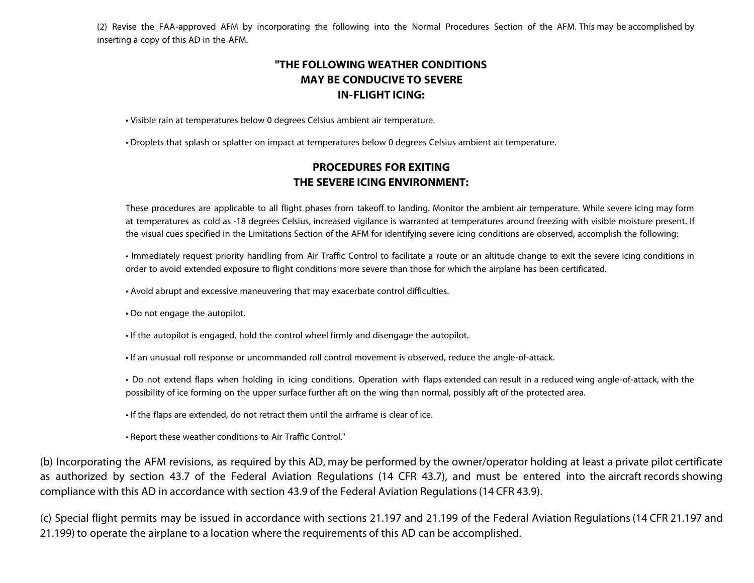(2) Revise the FAA-approved AFM by incorporating the following into the Normal Procedures Section of the AFM. This may be accomplished by inserting a copy of this AD in the AFM.

## **"THE FOLLOWING WEATHER CONDITIONS MAY BE CONDUCIVE TO SEVERE IN-FLIGHT ICING:**

• Visible rain at temperatures below 0 degrees Celsius ambient air temperature.

• Droplets that splash or splatter on impact at temperatures below 0 degrees Celsius ambient air temperature.

### **PROCEDURES FOR EXITING THE SEVERE ICING ENVIRONMENT:**

These procedures are applicable to all flight phases from takeoff to landing. Monitor the ambient air temperature. While severe icing may form at temperatures as cold as -18 degrees Celsius, increased vigilance is warranted at temperatures around freezing with visible moisture present. If the visual cues specified in the Limitations Section of the AFM for identifying severe icing conditions are observed, accomplish the following:

• Immediately request priority handling from Air Traffic Control to facilitate a route or an altitude change to exit the severe icing conditions in order to avoid extended exposure to flight conditions more severe than those for which the airplane has been certificated.

• Avoid abrupt and excessive maneuvering that may exacerbate control difficulties.

• Do not engage the autopilot.

• If the autopilot is engaged, hold the control wheel firmly and disengage the autopilot.

• If an unusual roll response or uncommanded roll control movement is observed, reduce the angle-of-attack.

• Do not extend flaps when holding in icing conditions. Operation with flaps extended can result in a reduced wing angle-of-attack, with the possibility of ice forming on the upper surface further aft on the wing than normal, possibly aft of the protected area.

• If the flaps are extended, do not retract them until the airframe is clear of ice.

• Report these weather conditions to Air Traffic Control."

(b) Incorporating the AFM revisions, as required by this AD, may be performed by the owner/operator holding at least a private pilot certificate as authorized by section 43.7 of the Federal Aviation Regulations (14 CFR 43.7), and must be entered into the aircraft records showing compliance with this AD in accordance with section 43.9 of the Federal Aviation Regulations (14 CFR 43.9).

(c) Special flight permits may be issued in accordance with sections 21.197 and 21.199 of the Federal Aviation Regulations (14 CFR 21.197 and 21.199) to operate the airplane to a location where the requirements of this AD can be accomplished.